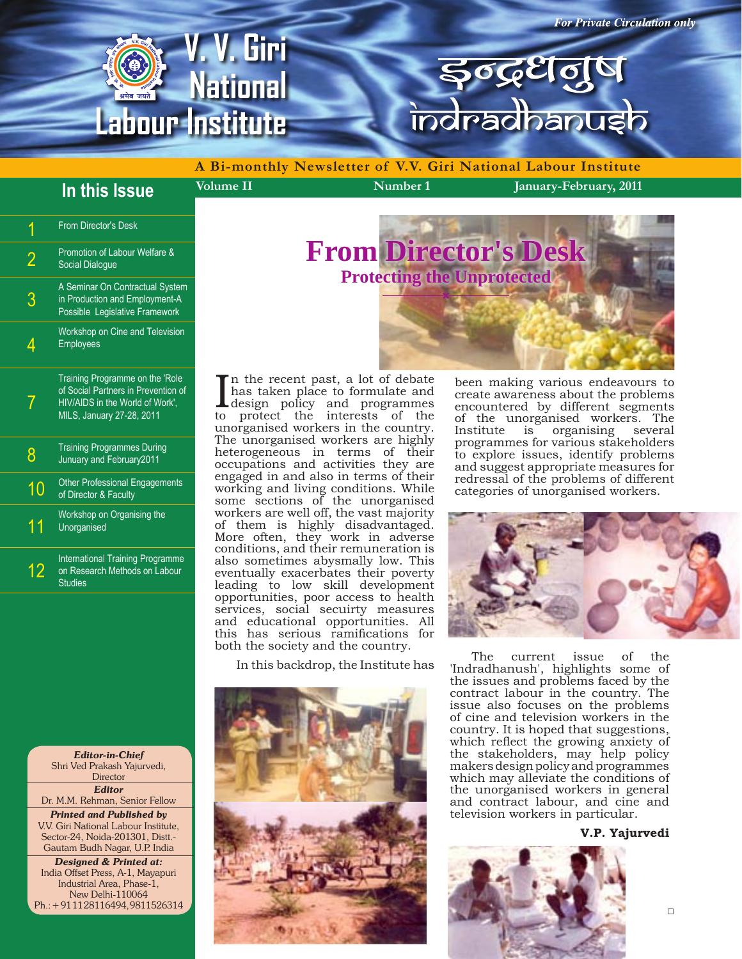

**Volume II Number 1 January-February, 2011 A Bi-monthly Newsletter of V.V. Giri National Labour Institute**

### **In this Issue**

| 1              | <b>From Director's Desk</b>                                                                                                           |
|----------------|---------------------------------------------------------------------------------------------------------------------------------------|
| $\overline{2}$ | Promotion of Labour Welfare &<br><b>Social Dialoque</b>                                                                               |
| 3              | A Seminar On Contractual System<br>in Production and Employment-A<br>Possible Legislative Framework                                   |
| 4              | Workshop on Cine and Television<br><b>Employees</b>                                                                                   |
| 7              | Training Programme on the Role<br>of Social Partners in Prevention of<br>HIV/AIDS in the World of Work',<br>MILS, January 27-28, 2011 |
| 8              | <b>Training Programmes During</b><br>Junuary and February2011                                                                         |
| 10             | <b>Other Professional Engagements</b><br>of Director & Faculty                                                                        |
| 11             | Workshop on Organising the<br>Unorganised                                                                                             |
| 12             | <b>International Training Programme</b><br>on Research Methods on Labour<br><b>Studies</b>                                            |

*Editor-in-Chief* Shri Ved Prakash Yajurvedi, **Director** *Editor*  Dr. M.M. Rehman, Senior Fellow

*Printed and Published by* V.V. Giri National Labour Institute, Sector-24, Noida-201301, Distt.- Gautam Budh Nagar, U.P. India

*Designed & Printed at:* India Offset Press, A-1, Mayapuri Industrial Area, Phase-1, New Delhi-110064 Ph.: + 91 11 28116494, 9811526314

# **From Director's Desk Protecting the Unprotected**

In the recent past, a lot of debate<br>has taken place to formulate and<br>design policy and programmes<br>to protect the interests of the n the recent past, a lot of debate has taken place to formulate and to protect the interests of the unorganised workers in the country. The unorganised workers are highly heterogeneous in terms of their occupations and activities they are engaged in and also in terms of their working and living conditions. While some sections of the unorganised workers are well off, the vast majority of them is highly disadvantaged. More often, they work in adverse conditions, and their remuneration is also sometimes abysmally low. This eventually exacerbates their poverty leading to low skill development opportunities, poor access to health services, social secuirty measures and educational opportunities. All this has serious ramifications for both the society and the country.

In this backdrop, the Institute has



been making various endeavours to create awareness about the problems encountered by different segments of the unorganised workers. The Institute is organising several programmes for various stakeholders to explore issues, identify problems and suggest appropriate measures for redressal of the problems of different categories of unorganised workers.



The current issue of the 'Indradhanush', highlights some of the issues and problems faced by the contract labour in the country. The issue also focuses on the problems of cine and television workers in the country. It is hoped that suggestions, which reflect the growing anxiety of the stakeholders, may help policy makers design policy and programmes which may alleviate the conditions of the unorganised workers in general and contract labour, and cine and television workers in particular.

#### **V.P. Yajurvedi**

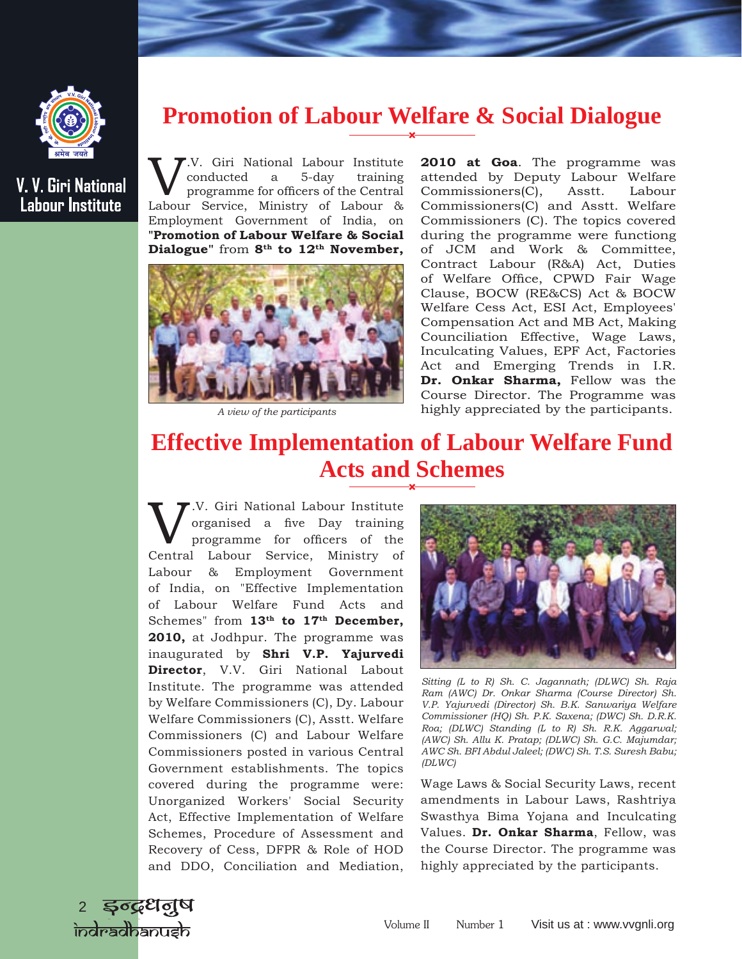### **Promotion of Labour Welfare & Social Dialogue**

W. Giri National Labour Institute<br>
programme for officers of the Central<br>
Labour Service, Ministry of Labour & conducted a 5-day training programme for officers of the Central Employment Government of India, on **"Promotion of Labour Welfare & Social Dialogue"** from **8th to 12th November,** 



*A view of the participants* 

**2010 at Goa**. The programme was attended by Deputy Labour Welfare Commissioners(C), Asstt. Labour Commissioners(C) and Asstt. Welfare Commissioners (C). The topics covered during the programme were functiong of JCM and Work & Committee, Contract Labour (R&A) Act, Duties of Welfare Office, CPWD Fair Wage Clause, BOCW (RE&CS) Act & BOCW Welfare Cess Act, ESI Act, Employees' Compensation Act and MB Act, Making Counciliation Effective, Wage Laws, Inculcating Values, EPF Act, Factories Act and Emerging Trends in I.R. **Dr. Onkar Sharma,** Fellow was the Course Director. The Programme was highly appreciated by the participants.

## **Effective Implementation of Labour Welfare Fund Acts and Schemes**

V.V. Giri National Labour Institute organised a five Day training programme for officers of the Central Labour Service, Ministry of Labour & Employment Government of India, on "Effective Implementation of Labour Welfare Fund Acts and Schemes" from 13<sup>th</sup> to 17<sup>th</sup> December, **2010,** at Jodhpur. The programme was inaugurated by **Shri V.P. Yajurvedi Director**, V.V. Giri National Labout Institute. The programme was attended by Welfare Commissioners (C), Dy. Labour Welfare Commissioners (C), Asstt. Welfare Commissioners (C) and Labour Welfare Commissioners posted in various Central Government establishments. The topics covered during the programme were: Unorganized Workers' Social Security Act, Effective Implementation of Welfare Schemes, Procedure of Assessment and Recovery of Cess, DFPR & Role of HOD and DDO, Conciliation and Mediation,



*Sitting (L to R) Sh. C. Jagannath; (DLWC) Sh. Raja Ram (AWC) Dr. Onkar Sharma (Course Director) Sh. V.P. Yajurvedi (Director) Sh. B.K. Sanwariya Welfare Commissioner (HQ) Sh. P.K. Saxena; (DWC) Sh. D.R.K. Roa; (DLWC) Standing (L to R) Sh. R.K. Aggarwal; (AWC) Sh. Allu K. Pratap; (DLWC) Sh. G.C. Majumdar; AWC Sh. BFI Abdul Jaleel; (DWC) Sh. T.S. Suresh Babu; (DLWC)*

Wage Laws & Social Security Laws, recent amendments in Labour Laws, Rashtriya Swasthya Bima Yojana and Inculcating Values. **Dr. Onkar Sharma**, Fellow, was the Course Director. The programme was highly appreciated by the participants.



**V. V. Giri National Labour Institute**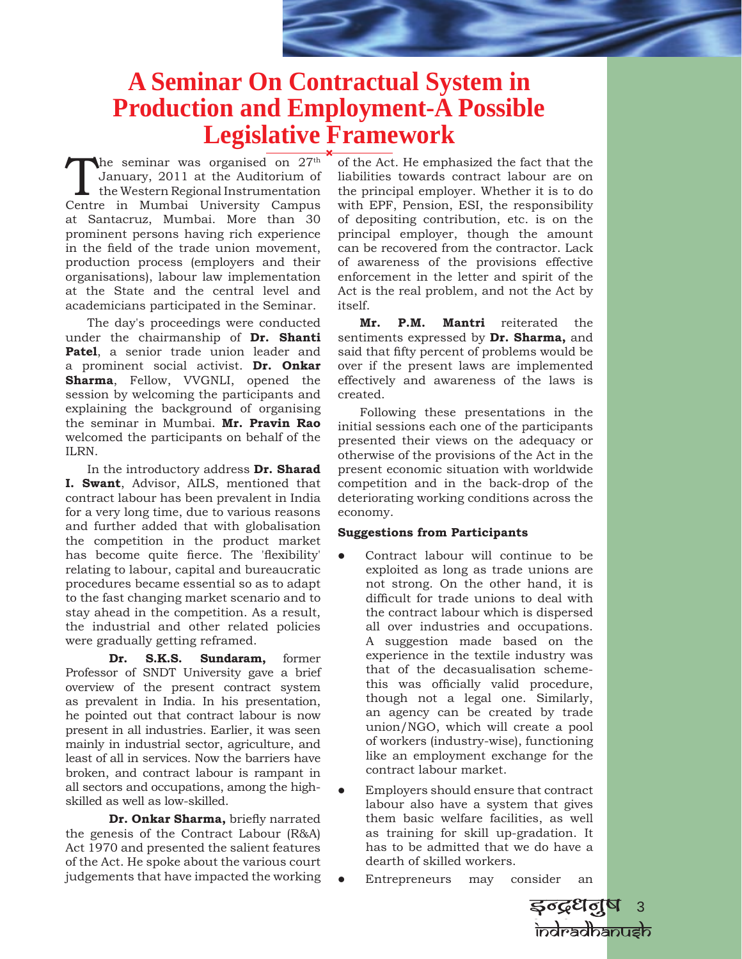## **A Seminar On Contractual System in Production and Employment-A Possible Legislative Framework**

The seminar was organised on  $27<sup>th</sup>$ January, 2011 at the Auditorium of the Western Regional Instrumentation Centre in Mumbai University Campus at Santacruz, Mumbai. More than 30 prominent persons having rich experience in the field of the trade union movement, production process (employers and their organisations), labour law implementation at the State and the central level and academicians participated in the Seminar.

The day's proceedings were conducted under the chairmanship of **Dr. Shanti Patel**, a senior trade union leader and a prominent social activist. **Dr. Onkar Sharma**, Fellow, VVGNLI, opened the session by welcoming the participants and explaining the background of organising the seminar in Mumbai. **Mr. Pravin Rao** welcomed the participants on behalf of the ILRN.

In the introductory address **Dr. Sharad I. Swant**, Advisor, AILS, mentioned that contract labour has been prevalent in India for a very long time, due to various reasons and further added that with globalisation the competition in the product market has become quite fierce. The 'flexibility' relating to labour, capital and bureaucratic procedures became essential so as to adapt to the fast changing market scenario and to stay ahead in the competition. As a result, the industrial and other related policies were gradually getting reframed.

 **Dr. S.K.S. Sundaram,** former Professor of SNDT University gave a brief overview of the present contract system as prevalent in India. In his presentation, he pointed out that contract labour is now present in all industries. Earlier, it was seen mainly in industrial sector, agriculture, and least of all in services. Now the barriers have broken, and contract labour is rampant in all sectors and occupations, among the highskilled as well as low-skilled.

 **Dr. Onkar Sharma,** briefly narrated the genesis of the Contract Labour (R&A) Act 1970 and presented the salient features of the Act. He spoke about the various court judgements that have impacted the working

of the Act. He emphasized the fact that the liabilities towards contract labour are on the principal employer. Whether it is to do with EPF, Pension, ESI, the responsibility of depositing contribution, etc. is on the principal employer, though the amount can be recovered from the contractor. Lack of awareness of the provisions effective enforcement in the letter and spirit of the Act is the real problem, and not the Act by itself.

**Mr. P.M. Mantri** reiterated the sentiments expressed by **Dr. Sharma,** and said that fifty percent of problems would be over if the present laws are implemented effectively and awareness of the laws is created.

Following these presentations in the initial sessions each one of the participants presented their views on the adequacy or otherwise of the provisions of the Act in the present economic situation with worldwide competition and in the back-drop of the deteriorating working conditions across the economy.

#### **Suggestions from Participants**

- Contract labour will continue to be exploited as long as trade unions are not strong. On the other hand, it is difficult for trade unions to deal with the contract labour which is dispersed all over industries and occupations. A suggestion made based on the experience in the textile industry was that of the decasualisation schemethis was officially valid procedure, though not a legal one. Similarly, an agency can be created by trade union/NGO, which will create a pool of workers (industry-wise), functioning like an employment exchange for the contract labour market.
- Employers should ensure that contract labour also have a system that gives them basic welfare facilities, as well as training for skill up-gradation. It has to be admitted that we do have a dearth of skilled workers.
- Entrepreneurs may consider an

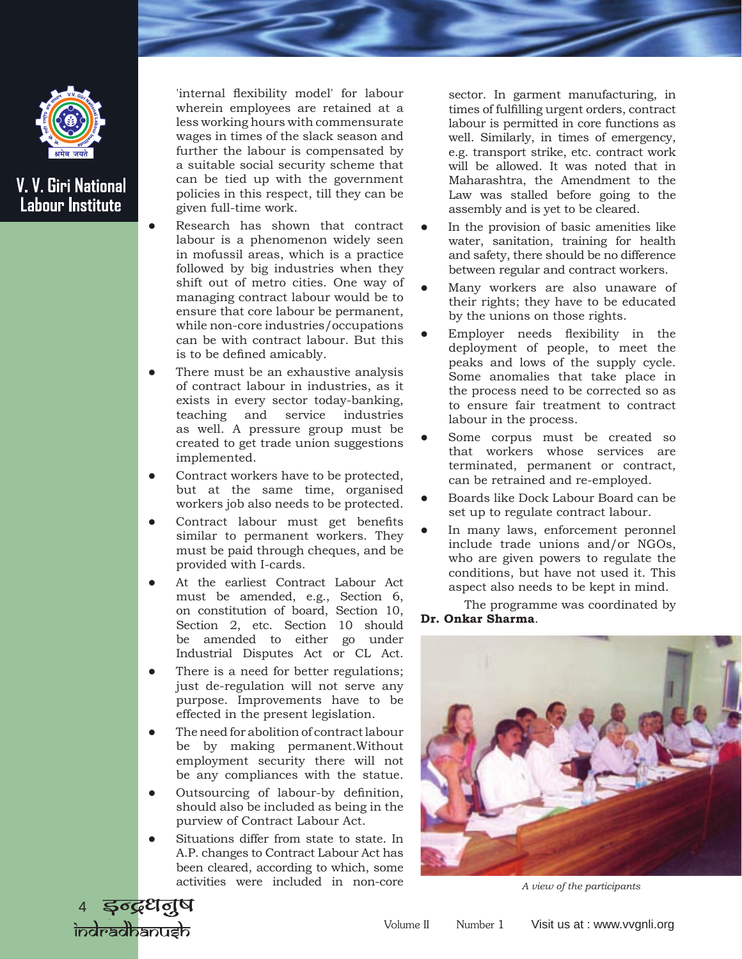

'internal flexibility model' for labour wherein employees are retained at a less working hours with commensurate wages in times of the slack season and further the labour is compensated by a suitable social security scheme that can be tied up with the government policies in this respect, till they can be given full-time work.

- Research has shown that contract labour is a phenomenon widely seen in mofussil areas, which is a practice followed by big industries when they shift out of metro cities. One way of managing contract labour would be to ensure that core labour be permanent, while non-core industries/occupations can be with contract labour. But this is to be defined amicably.
- There must be an exhaustive analysis of contract labour in industries, as it exists in every sector today-banking, teaching and service industries as well. A pressure group must be created to get trade union suggestions implemented.
- Contract workers have to be protected, but at the same time, organised workers job also needs to be protected.
- Contract labour must get benefits similar to permanent workers. They must be paid through cheques, and be provided with I-cards.
- At the earliest Contract Labour Act must be amended, e.g., Section 6, on constitution of board, Section 10, Section 2, etc. Section 10 should be amended to either go under Industrial Disputes Act or CL Act.
- There is a need for better regulations; just de-regulation will not serve any purpose. Improvements have to be effected in the present legislation.
- The need for abolition of contract labour be by making permanent.Without employment security there will not be any compliances with the statue.
- Outsourcing of labour-by definition, should also be included as being in the purview of Contract Labour Act.
- Situations differ from state to state. In A.P. changes to Contract Labour Act has been cleared, according to which, some activities were included in non-core

sector. In garment manufacturing, in times of fulfilling urgent orders, contract labour is permitted in core functions as well. Similarly, in times of emergency, e.g. transport strike, etc. contract work will be allowed. It was noted that in Maharashtra, the Amendment to the Law was stalled before going to the assembly and is yet to be cleared.

- In the provision of basic amenities like water, sanitation, training for health and safety, there should be no difference between regular and contract workers.
- Many workers are also unaware of their rights; they have to be educated by the unions on those rights.
- Employer needs flexibility in the deployment of people, to meet the peaks and lows of the supply cycle. Some anomalies that take place in the process need to be corrected so as to ensure fair treatment to contract labour in the process.
- Some corpus must be created so that workers whose services are terminated, permanent or contract, can be retrained and re-employed.
- Boards like Dock Labour Board can be set up to regulate contract labour.
- In many laws, enforcement peronnel include trade unions and/or NGOs, who are given powers to regulate the conditions, but have not used it. This aspect also needs to be kept in mind.

The programme was coordinated by **Dr. Onkar Sharma**.



*A view of the participants* 

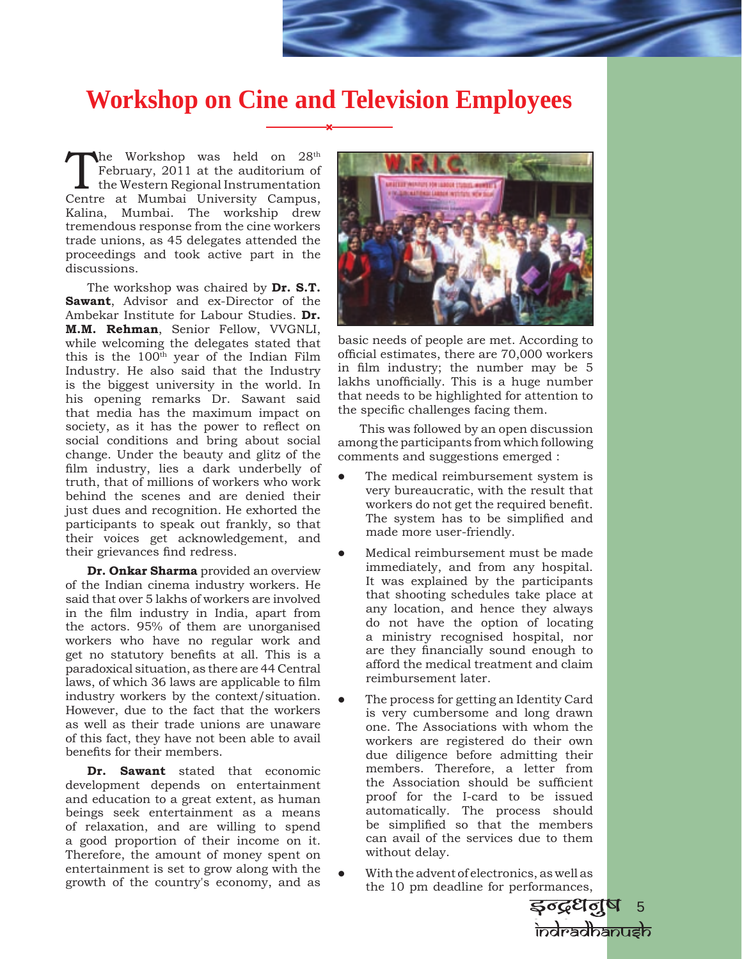## **Workshop on Cine and Television Employees**

The Workshop was held on 28<sup>th</sup><br>February, 2011 at the auditorium of<br>the Western Regional Instrumentation<br>Centre at Mumbai University Campus February, 2011 at the auditorium of the Western Regional Instrumentation Centre at Mumbai University Campus, Kalina, Mumbai. The workship drew tremendous response from the cine workers trade unions, as 45 delegates attended the proceedings and took active part in the discussions.

The workshop was chaired by **Dr. S.T. Sawant**, Advisor and ex-Director of the Ambekar Institute for Labour Studies. **Dr. M.M. Rehman**, Senior Fellow, VVGNLI, while welcoming the delegates stated that this is the  $100<sup>th</sup>$  year of the Indian Film Industry. He also said that the Industry is the biggest university in the world. In his opening remarks Dr. Sawant said that media has the maximum impact on society, as it has the power to reflect on social conditions and bring about social change. Under the beauty and glitz of the film industry, lies a dark underbelly of truth, that of millions of workers who work behind the scenes and are denied their just dues and recognition. He exhorted the participants to speak out frankly, so that their voices get acknowledgement, and their grievances find redress.

**Dr. Onkar Sharma** provided an overview of the Indian cinema industry workers. He said that over 5 lakhs of workers are involved in the film industry in India, apart from the actors. 95% of them are unorganised workers who have no regular work and get no statutory benefits at all. This is a paradoxical situation, as there are 44 Central laws, of which 36 laws are applicable to film industry workers by the context/situation. However, due to the fact that the workers as well as their trade unions are unaware of this fact, they have not been able to avail benefits for their members.

**Dr. Sawant** stated that economic development depends on entertainment and education to a great extent, as human beings seek entertainment as a means of relaxation, and are willing to spend a good proportion of their income on it. Therefore, the amount of money spent on entertainment is set to grow along with the growth of the country's economy, and as



basic needs of people are met. According to official estimates, there are 70,000 workers in film industry; the number may be 5 lakhs unofficially. This is a huge number that needs to be highlighted for attention to the specific challenges facing them.

This was followed by an open discussion among the participants from which following comments and suggestions emerged :

- The medical reimbursement system is very bureaucratic, with the result that workers do not get the required benefit. The system has to be simplified and made more user-friendly.
	- Medical reimbursement must be made immediately, and from any hospital. It was explained by the participants that shooting schedules take place at any location, and hence they always do not have the option of locating a ministry recognised hospital, nor are they financially sound enough to afford the medical treatment and claim reimbursement later.
- The process for getting an Identity Card is very cumbersome and long drawn one. The Associations with whom the workers are registered do their own due diligence before admitting their members. Therefore, a letter from the Association should be sufficient proof for the I-card to be issued automatically. The process should be simplified so that the members can avail of the services due to them without delay.
- With the advent of electronics, as well as the 10 pm deadline for performances,

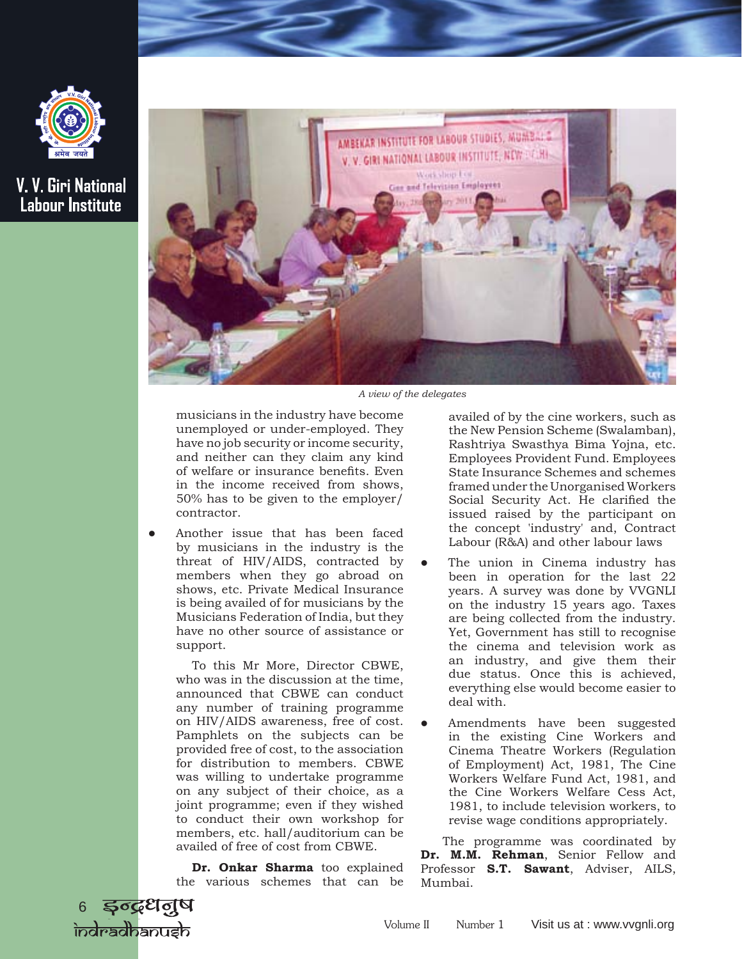



*A view of the delegates*

musicians in the industry have become unemployed or under-employed. They have no job security or income security, and neither can they claim any kind of welfare or insurance benefits. Even in the income received from shows, 50% has to be given to the employer/ contractor.

Another issue that has been faced by musicians in the industry is the threat of HIV/AIDS, contracted by members when they go abroad on shows, etc. Private Medical Insurance is being availed of for musicians by the Musicians Federation of India, but they have no other source of assistance or support.

To this Mr More, Director CBWE, who was in the discussion at the time, announced that CBWE can conduct any number of training programme on HIV/AIDS awareness, free of cost. Pamphlets on the subjects can be provided free of cost, to the association for distribution to members. CBWE was willing to undertake programme on any subject of their choice, as a joint programme; even if they wished to conduct their own workshop for members, etc. hall/auditorium can be availed of free of cost from CBWE.

 **Dr. Onkar Sharma** too explained the various schemes that can be

availed of by the cine workers, such as the New Pension Scheme (Swalamban), Rashtriya Swasthya Bima Yojna, etc. Employees Provident Fund. Employees State Insurance Schemes and schemes framed under the Unorganised Workers Social Security Act. He clarified the issued raised by the participant on the concept 'industry' and, Contract Labour (R&A) and other labour laws

- The union in Cinema industry has been in operation for the last 22 years. A survey was done by VVGNLI on the industry 15 years ago. Taxes are being collected from the industry. Yet, Government has still to recognise the cinema and television work as an industry, and give them their due status. Once this is achieved, everything else would become easier to deal with.
- Amendments have been suggested in the existing Cine Workers and Cinema Theatre Workers (Regulation of Employment) Act, 1981, The Cine Workers Welfare Fund Act, 1981, and the Cine Workers Welfare Cess Act, 1981, to include television workers, to revise wage conditions appropriately.

The programme was coordinated by **Dr. M.M. Rehman**, Senior Fellow and Professor **S.T. Sawant**, Adviser, AILS, Mumbai.

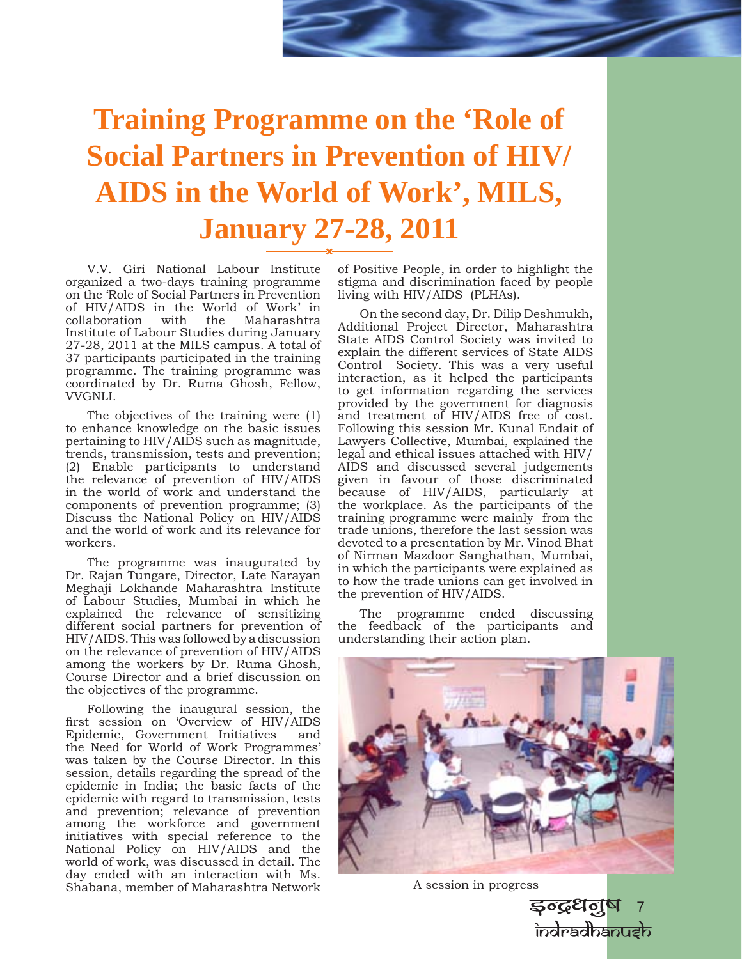# **Training Programme on the 'Role of Social Partners in Prevention of HIV/ AIDS in the World of Work', MILS, January 27-28, 2011**

V.V. Giri National Labour Institute organized a two-days training programme on the 'Role of Social Partners in Prevention of HIV/AIDS in the World of Work' in collaboration Institute of Labour Studies during January 27-28, 2011 at the MILS campus. A total of 37 participants participated in the training programme. The training programme was coordinated by Dr. Ruma Ghosh, Fellow, VVGNLI.

The objectives of the training were (1) to enhance knowledge on the basic issues pertaining to HIV/AIDS such as magnitude, trends, transmission, tests and prevention; (2) Enable participants to understand the relevance of prevention of HIV/AIDS in the world of work and understand the components of prevention programme; (3) Discuss the National Policy on HIV/AIDS and the world of work and its relevance for workers.

The programme was inaugurated by Dr. Rajan Tungare, Director, Late Narayan Meghaji Lokhande Maharashtra Institute of Labour Studies, Mumbai in which he explained the relevance of sensitizing different social partners for prevention of HIV/AIDS. This was followed by a discussion on the relevance of prevention of HIV/AIDS among the workers by Dr. Ruma Ghosh, Course Director and a brief discussion on the objectives of the programme.

Following the inaugural session, the first session on 'Overview of HIV/AIDS Epidemic, Government Initiatives and the Need for World of Work Programmes' was taken by the Course Director. In this session, details regarding the spread of the epidemic in India; the basic facts of the epidemic with regard to transmission, tests and prevention; relevance of prevention among the workforce and government initiatives with special reference to the National Policy on HIV/AIDS and the world of work, was discussed in detail. The day ended with an interaction with Ms. Shabana, member of Maharashtra Network

of Positive People, in order to highlight the stigma and discrimination faced by people living with HIV/AIDS (PLHAs).

On the second day, Dr. Dilip Deshmukh, Additional Project Director, Maharashtra State AIDS Control Society was invited to explain the different services of State AIDS Control Society. This was a very useful interaction, as it helped the participants to get information regarding the services provided by the government for diagnosis and treatment of HIV/AIDS free of cost. Following this session Mr. Kunal Endait of Lawyers Collective, Mumbai, explained the legal and ethical issues attached with HIV/ AIDS and discussed several judgements given in favour of those discriminated because of HIV/AIDS, particularly at the workplace. As the participants of the training programme were mainly from the trade unions, therefore the last session was devoted to a presentation by Mr. Vinod Bhat of Nirman Mazdoor Sanghathan, Mumbai, in which the participants were explained as to how the trade unions can get involved in the prevention of HIV/AIDS.

The programme ended discussing the feedback of the participants and understanding their action plan.



A session in progress

इन्द्रधनुष 7 indradhanush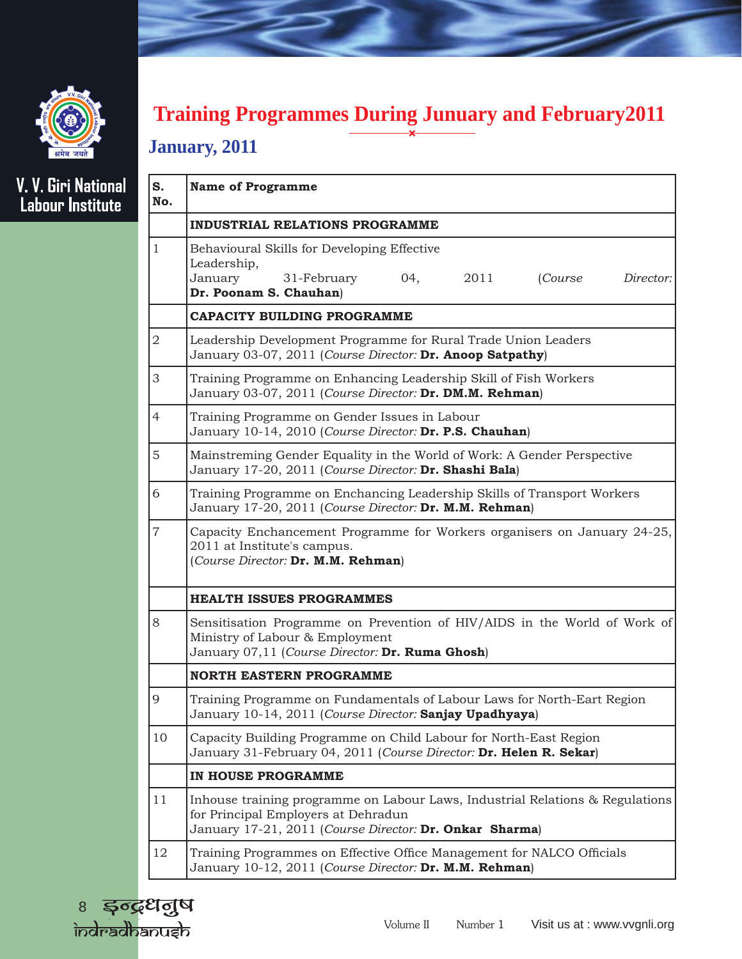

## **Training Programmes During Junuary and February2011**

### **January, 2011**

# V. V. Giri National<br>Labour Institute

| <b>Name of Programme</b>                                                                                                                                                        |  |  |
|---------------------------------------------------------------------------------------------------------------------------------------------------------------------------------|--|--|
| <b>INDUSTRIAL RELATIONS PROGRAMME</b>                                                                                                                                           |  |  |
| Behavioural Skills for Developing Effective<br>Leadership,<br>January<br>31-February<br>04,<br>2011<br>(Course<br>Director:<br>Dr. Poonam S. Chauhan)                           |  |  |
| CAPACITY BUILDING PROGRAMME                                                                                                                                                     |  |  |
| Leadership Development Programme for Rural Trade Union Leaders<br>January 03-07, 2011 (Course Director: Dr. Anoop Satpathy)                                                     |  |  |
| Training Programme on Enhancing Leadership Skill of Fish Workers<br>January 03-07, 2011 (Course Director: Dr. DM.M. Rehman)                                                     |  |  |
| Training Programme on Gender Issues in Labour<br>January 10-14, 2010 (Course Director: Dr. P.S. Chauhan)                                                                        |  |  |
| Mainstreming Gender Equality in the World of Work: A Gender Perspective<br>January 17-20, 2011 (Course Director: Dr. Shashi Bala)                                               |  |  |
| Training Programme on Enchancing Leadership Skills of Transport Workers<br>January 17-20, 2011 (Course Director: Dr. M.M. Rehman)                                               |  |  |
| Capacity Enchancement Programme for Workers organisers on January 24-25,<br>2011 at Institute's campus.<br>(Course Director: Dr. M.M. Rehman)                                   |  |  |
| <b>HEALTH ISSUES PROGRAMMES</b>                                                                                                                                                 |  |  |
| Sensitisation Programme on Prevention of HIV/AIDS in the World of Work of<br>Ministry of Labour & Employment<br>January 07,11 (Course Director: Dr. Ruma Ghosh)                 |  |  |
| <b>NORTH EASTERN PROGRAMME</b>                                                                                                                                                  |  |  |
| Training Programme on Fundamentals of Labour Laws for North-Eart Region<br>January 10-14, 2011 (Course Director: Sanjay Upadhyaya)                                              |  |  |
| Capacity Building Programme on Child Labour for North-East Region<br>January 31-February 04, 2011 (Course Director: Dr. Helen R. Sekar)                                         |  |  |
| IN HOUSE PROGRAMME                                                                                                                                                              |  |  |
| Inhouse training programme on Labour Laws, Industrial Relations & Regulations<br>for Principal Employers at Dehradun<br>January 17-21, 2011 (Course Director: Dr. Onkar Sharma) |  |  |
| Training Programmes on Effective Office Management for NALCO Officials<br>January 10-12, 2011 (Course Director: Dr. M.M. Rehman)                                                |  |  |
|                                                                                                                                                                                 |  |  |

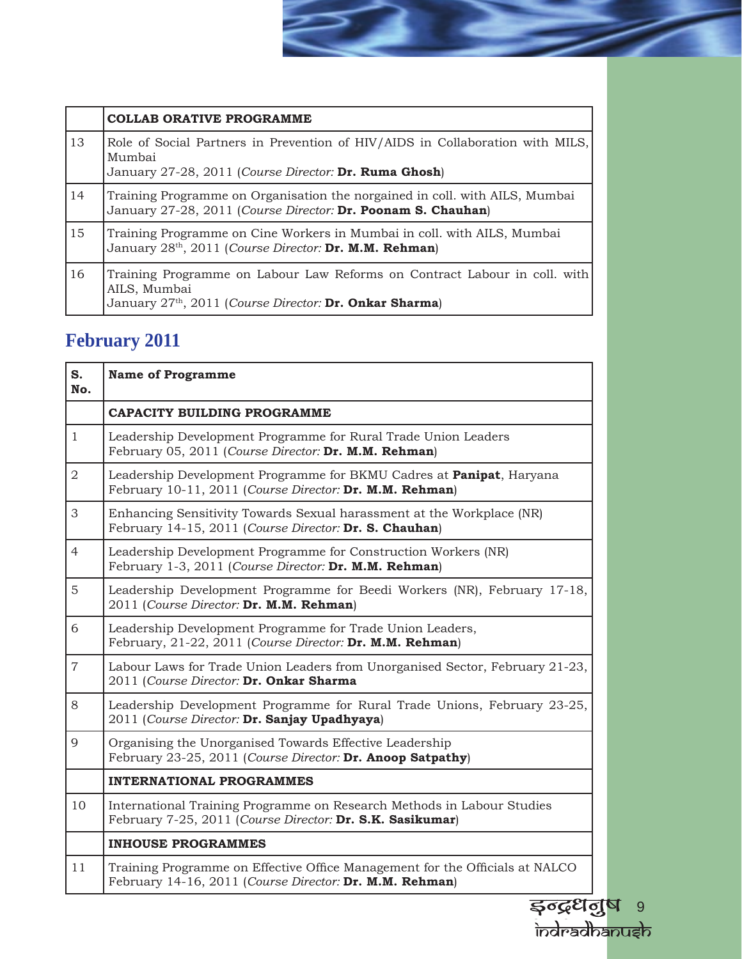|    | <b>COLLAB ORATIVE PROGRAMME</b>                                                                                                                                  |
|----|------------------------------------------------------------------------------------------------------------------------------------------------------------------|
| 13 | Role of Social Partners in Prevention of HIV/AIDS in Collaboration with MILS,<br>Mumbai<br>January 27-28, 2011 (Course Director: Dr. Ruma Ghosh)                 |
| 14 | Training Programme on Organisation the norgained in coll. with AILS, Mumbai<br>January 27-28, 2011 (Course Director: Dr. Poonam S. Chauhan)                      |
| 15 | Training Programme on Cine Workers in Mumbai in coll. with AILS, Mumbai<br>January 28 <sup>th</sup> , 2011 (Course Director: Dr. M.M. Rehman)                    |
| 16 | Training Programme on Labour Law Reforms on Contract Labour in coll. with<br>AILS, Mumbai<br>January 27 <sup>th</sup> , 2011 (Course Director: Dr. Onkar Sharma) |

 $\Rightarrow$ 

## **February 2011**

| S.<br>No.      | <b>Name of Programme</b>                                                                                                                |  |
|----------------|-----------------------------------------------------------------------------------------------------------------------------------------|--|
|                | <b>CAPACITY BUILDING PROGRAMME</b>                                                                                                      |  |
| $\mathbf{1}$   | Leadership Development Programme for Rural Trade Union Leaders<br>February 05, 2011 (Course Director: Dr. M.M. Rehman)                  |  |
| $\overline{2}$ | Leadership Development Programme for BKMU Cadres at <b>Panipat</b> , Haryana<br>February 10-11, 2011 (Course Director: Dr. M.M. Rehman) |  |
| 3              | Enhancing Sensitivity Towards Sexual harassment at the Workplace (NR)<br>February 14-15, 2011 (Course Director: Dr. S. Chauhan)         |  |
| $\overline{4}$ | Leadership Development Programme for Construction Workers (NR)<br>February 1-3, 2011 (Course Director: Dr. M.M. Rehman)                 |  |
| $\mathbf 5$    | Leadership Development Programme for Beedi Workers (NR), February 17-18,<br>2011 (Course Director: Dr. M.M. Rehman)                     |  |
| 6              | Leadership Development Programme for Trade Union Leaders,<br>February, 21-22, 2011 (Course Director: Dr. M.M. Rehman)                   |  |
| $\overline{7}$ | Labour Laws for Trade Union Leaders from Unorganised Sector, February 21-23,<br>2011 (Course Director: Dr. Onkar Sharma                 |  |
| $8\,$          | Leadership Development Programme for Rural Trade Unions, February 23-25,<br>2011 (Course Director: Dr. Sanjay Upadhyaya)                |  |
| 9              | Organising the Unorganised Towards Effective Leadership<br>February 23-25, 2011 (Course Director: Dr. Anoop Satpathy)                   |  |
|                | <b>INTERNATIONAL PROGRAMMES</b>                                                                                                         |  |
| 10             | International Training Programme on Research Methods in Labour Studies<br>February 7-25, 2011 (Course Director: Dr. S.K. Sasikumar)     |  |
|                | <b>INHOUSE PROGRAMMES</b>                                                                                                               |  |
| 11             | Training Programme on Effective Office Management for the Officials at NALCO<br>February 14-16, 2011 (Course Director: Dr. M.M. Rehman) |  |
|                |                                                                                                                                         |  |
|                | इन्द्रधनुष <sub>9</sub><br>केलेल्व्वेठिकप्राइके                                                                                         |  |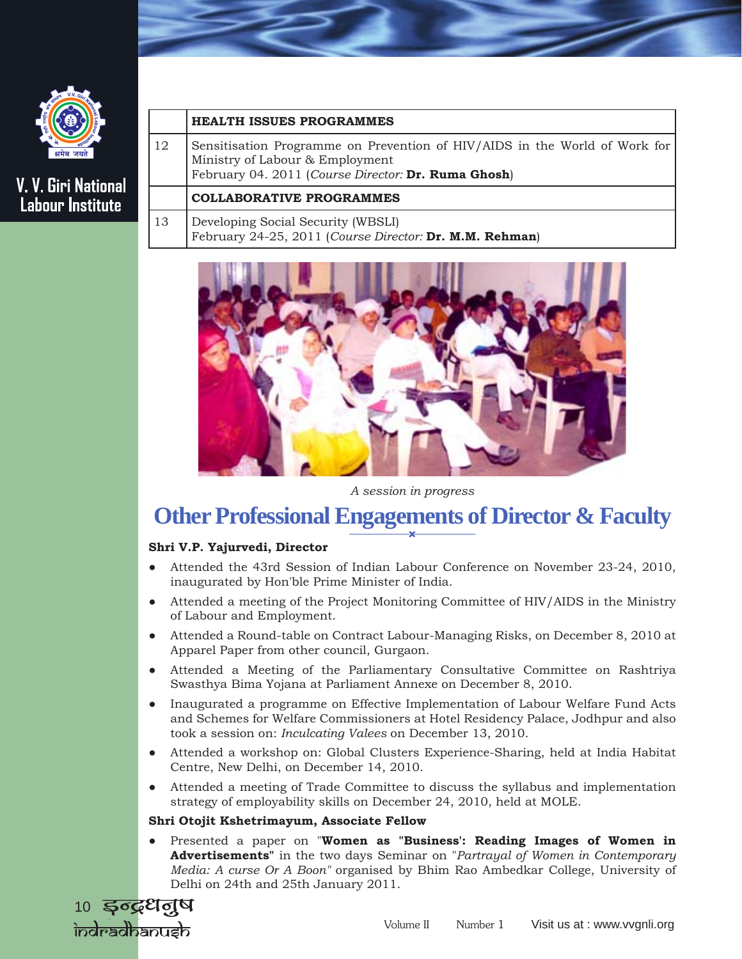

### **HEALTH ISSUES PROGRAMMES**

12 Sensitisation Programme on Prevention of HIV/AIDS in the World of Work for Ministry of Labour & Employment February 04. 2011 (*Course Director:* **Dr. Ruma Ghosh**)

### **COLLABORATIVE PROGRAMMES**

13 Developing Social Security (WBSLI) February 24-25, 2011 (*Course Director:* **Dr. M.M. Rehman**)



*A session in progress* 

## **Other Professional Engagements of Director & Faculty**

### **Shri V.P. Yajurvedi, Director**

- Attended the 43rd Session of Indian Labour Conference on November 23-24, 2010, inaugurated by Hon'ble Prime Minister of India.
- Attended a meeting of the Project Monitoring Committee of HIV/AIDS in the Ministry of Labour and Employment.
- Attended a Round-table on Contract Labour-Managing Risks, on December 8, 2010 at Apparel Paper from other council, Gurgaon.
- Attended a Meeting of the Parliamentary Consultative Committee on Rashtriya Swasthya Bima Yojana at Parliament Annexe on December 8, 2010.
- Inaugurated a programme on Effective Implementation of Labour Welfare Fund Acts and Schemes for Welfare Commissioners at Hotel Residency Palace, Jodhpur and also took a session on: *Inculcating Valees* on December 13, 2010.
- Attended a workshop on: Global Clusters Experience-Sharing, held at India Habitat Centre, New Delhi, on December 14, 2010.
- Attended a meeting of Trade Committee to discuss the syllabus and implementation strategy of employability skills on December 24, 2010, held at MOLE.

### **Shri Otojit Kshetrimayum, Associate Fellow**

Presented a paper on "Women as "Business': Reading Images of Women in **Advertisements"** in the two days Seminar on "*Partrayal of Women in Contemporary Media: A curse Or A Boon"* organised by Bhim Rao Ambedkar College, University of Delhi on 24th and 25th January 2011.

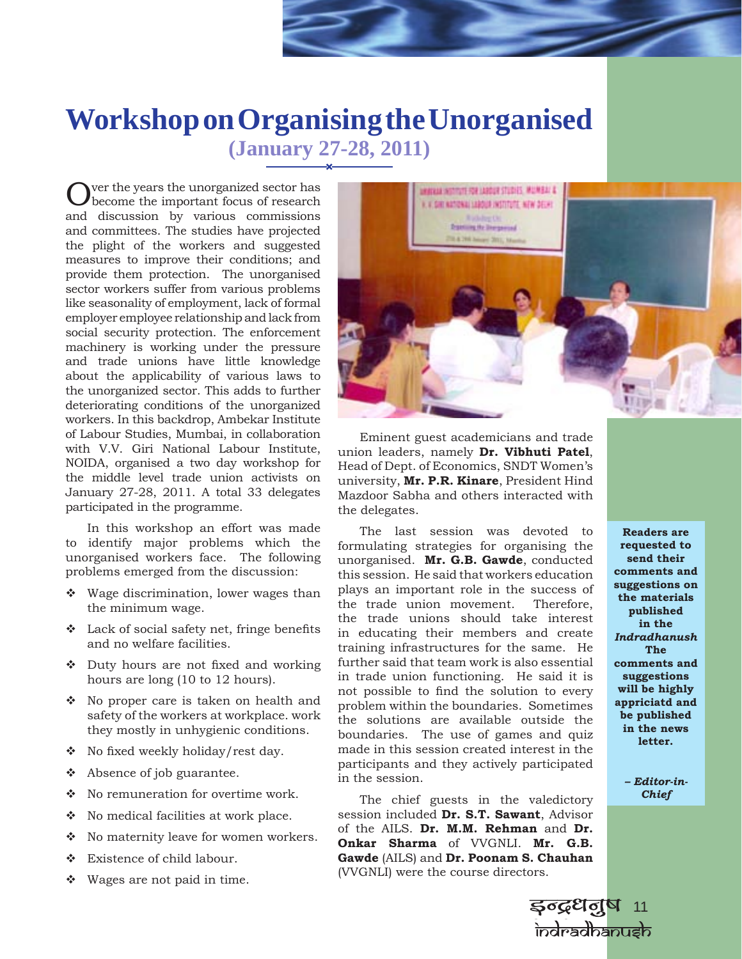## **Workshop on Organising the Unorganised (January 27-28, 2011)**

Over the years the unorganized sector has become the important focus of research and discussion by various commissions and committees. The studies have projected the plight of the workers and suggested measures to improve their conditions; and provide them protection. The unorganised sector workers suffer from various problems like seasonality of employment, lack of formal employer employee relationship and lack from social security protection. The enforcement machinery is working under the pressure and trade unions have little knowledge about the applicability of various laws to the unorganized sector. This adds to further deteriorating conditions of the unorganized workers. In this backdrop, Ambekar Institute of Labour Studies, Mumbai, in collaboration with V.V. Giri National Labour Institute, NOIDA, organised a two day workshop for the middle level trade union activists on January 27-28, 2011. A total 33 delegates participated in the programme.

In this workshop an effort was made to identify major problems which the unorganised workers face. The following problems emerged from the discussion:

- Wage discrimination, lower wages than the minimum wage.
- $\cdot$  Lack of social safety net, fringe benefits and no welfare facilities.
- Duty hours are not fixed and working hours are long (10 to 12 hours).
- $\bullet$  No proper care is taken on health and safety of the workers at workplace. work they mostly in unhygienic conditions.
- No fixed weekly holiday/rest day.
- \* Absence of job guarantee.
- ❖ No remuneration for overtime work.
- No medical facilities at work place.
- No maternity leave for women workers.
- Existence of child labour.
- Wages are not paid in time.

A 148MUN 200122-9106AL 972 TECHNICAL MARINE V. SHI NATIONAL LABOUR INSTITUTE, NEW DELIKE **Danmark Depend SLA 204 Among Streets** 

Eminent guest academicians and trade union leaders, namely **Dr. Vibhuti Patel**, Head of Dept. of Economics, SNDT Women's university, **Mr. P.R. Kinare**, President Hind Mazdoor Sabha and others interacted with the delegates.

The last session was devoted to formulating strategies for organising the unorganised. **Mr. G.B. Gawde**, conducted this session. He said that workers education plays an important role in the success of the trade union movement. Therefore, the trade unions should take interest in educating their members and create training infrastructures for the same. He further said that team work is also essential in trade union functioning. He said it is not possible to find the solution to every problem within the boundaries. Sometimes the solutions are available outside the boundaries. The use of games and quiz made in this session created interest in the participants and they actively participated in the session.

The chief guests in the valedictory session included **Dr. S.T. Sawant**, Advisor of the AILS. **Dr. M.M. Rehman** and **Dr. Onkar Sharma** of VVGNLI. **Mr. G.B. Gawde** (AILS) and **Dr. Poonam S. Chauhan** (VVGNLI) were the course directors.

**Readers are requested to send their comments and suggestions on the materials published in the**  *Indradhanush*  **The comments and suggestions will be highly appriciatd and be published in the news letter.**

> *– Editor-in-Chief*